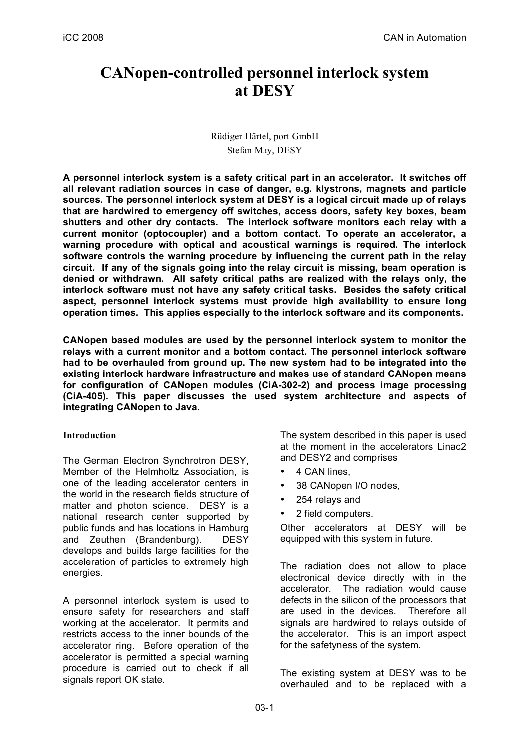# **CANopen-controlled personnel interlock system at DESY**

## Rüdiger Härtel, port GmbH Stefan May, DESY

**A personnel interlock system is a safety critical part in an accelerator. It switches off all relevant radiation sources in case of danger, e.g. klystrons, magnets and particle sources. The personnel interlock system at DESY is a logical circuit made up of relays that are hardwired to emergency off switches, access doors, safety key boxes, beam shutters and other dry contacts. The interlock software monitors each relay with a current monitor (optocoupler) and a bottom contact. To operate an accelerator, a warning procedure with optical and acoustical warnings is required. The interlock software controls the warning procedure by influencing the current path in the relay circuit. If any of the signals going into the relay circuit is missing, beam operation is denied or withdrawn. All safety critical paths are realized with the relays only, the interlock software must not have any safety critical tasks. Besides the safety critical aspect, personnel interlock systems must provide high availability to ensure long operation times. This applies especially to the interlock software and its components.**

**CANopen based modules are used by the personnel interlock system to monitor the relays with a current monitor and a bottom contact. The personnel interlock software had to be overhauled from ground up. The new system had to be integrated into the existing interlock hardware infrastructure and makes use of standard CANopen means for configuration of CANopen modules (CiA-302-2) and process image processing (CiA-405). This paper discusses the used system architecture and aspects of integrating CANopen to Java.**

## **Introduction**

The German Electron Synchrotron DESY, Member of the Helmholtz Association, is one of the leading accelerator centers in the world in the research fields structure of matter and photon science. DESY is a national research center supported by public funds and has locations in Hamburg and Zeuthen (Brandenburg). DESY develops and builds large facilities for the acceleration of particles to extremely high energies.

A personnel interlock system is used to ensure safety for researchers and staff working at the accelerator. It permits and restricts access to the inner bounds of the accelerator ring. Before operation of the accelerator is permitted a special warning procedure is carried out to check if all signals report OK state.

The system described in this paper is used at the moment in the accelerators Linac2 and DESY2 and comprises

- 4 CAN lines,
- 38 CANopen I/O nodes,
- 254 relays and
- 2 field computers.

Other accelerators at DESY will be equipped with this system in future.

The radiation does not allow to place electronical device directly with in the accelerator. The radiation would cause defects in the silicon of the processors that are used in the devices. Therefore all signals are hardwired to relays outside of the accelerator. This is an import aspect for the safetyness of the system.

The existing system at DESY was to be overhauled and to be replaced with a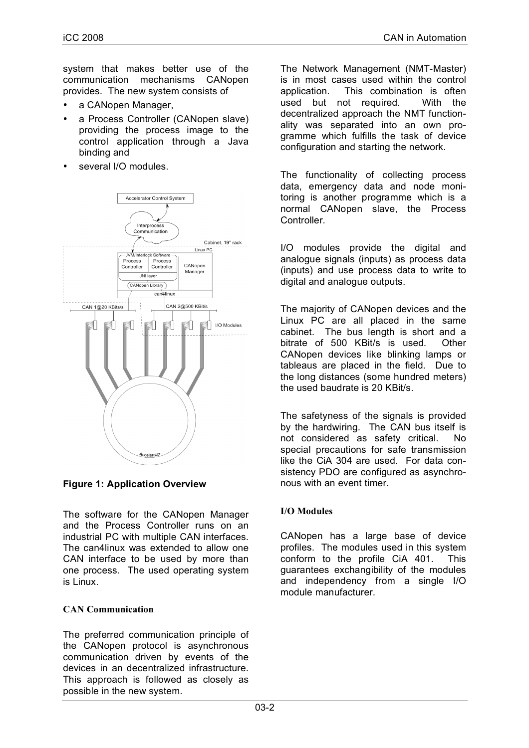system that makes better use of the communication mechanisms CANopen provides. The new system consists of

- a CANopen Manager,
- a Process Controller (CANopen slave) providing the process image to the control application through a Java binding and
- several I/O modules.



## **Figure 1: Application Overview**

The software for the CANopen Manager and the Process Controller runs on an industrial PC with multiple CAN interfaces. The can4linux was extended to allow one CAN interface to be used by more than one process. The used operating system is Linux.

## **CAN Communication**

The preferred communication principle of the CANopen protocol is asynchronous communication driven by events of the devices in an decentralized infrastructure. This approach is followed as closely as possible in the new system.

The Network Management (NMT-Master) is in most cases used within the control application. This combination is often used but not required. With the decentralized approach the NMT functionality was separated into an own programme which fulfills the task of device configuration and starting the network.

The functionality of collecting process data, emergency data and node monitoring is another programme which is a normal CANopen slave, the Process Controller.

I/O modules provide the digital and analogue signals (inputs) as process data (inputs) and use process data to write to digital and analogue outputs.

The majority of CANopen devices and the Linux PC are all placed in the same cabinet. The bus length is short and a bitrate of 500 KBit/s is used. Other CANopen devices like blinking lamps or tableaus are placed in the field. Due to the long distances (some hundred meters) the used baudrate is 20 KBit/s.

The safetyness of the signals is provided by the hardwiring. The CAN bus itself is not considered as safety critical. No special precautions for safe transmission like the CiA 304 are used. For data consistency PDO are configured as asynchronous with an event timer.

## **I/O Modules**

CANopen has a large base of device profiles. The modules used in this system conform to the profile CiA 401. This guarantees exchangibility of the modules and independency from a single I/O module manufacturer.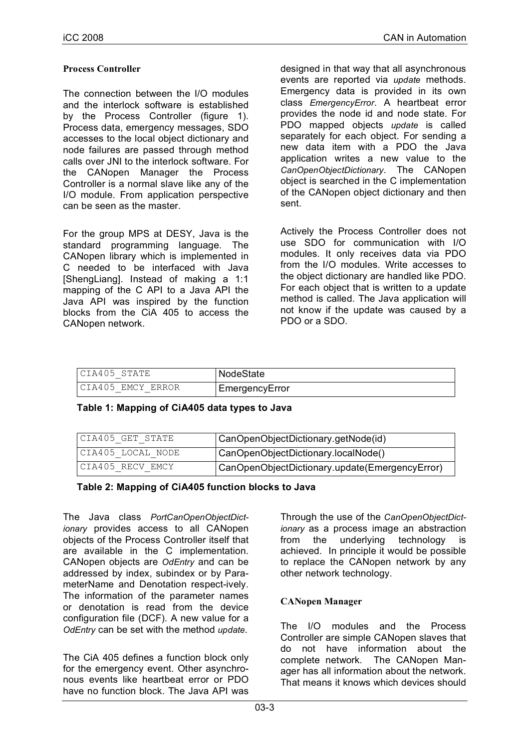## **Process Controller**

The connection between the I/O modules and the interlock software is established by the Process Controller (figure 1). Process data, emergency messages, SDO accesses to the local object dictionary and node failures are passed through method calls over JNI to the interlock software. For the CANopen Manager the Process Controller is a normal slave like any of the I/O module. From application perspective can be seen as the master.

For the group MPS at DESY, Java is the standard programming language. The CANopen library which is implemented in C needed to be interfaced with Java [ShengLiang]. Instead of making a 1:1 mapping of the C API to a Java API the Java API was inspired by the function blocks from the CiA 405 to access the CANopen network.

designed in that way that all asynchronous events are reported via *update* methods. Emergency data is provided in its own class *EmergencyError*. A heartbeat error provides the node id and node state. For PDO mapped objects *update* is called separately for each object. For sending a new data item with a PDO the Java application writes a new value to the *CanOpenObjectDictionary*. The CANopen object is searched in the C implementation of the CANopen object dictionary and then sent.

Actively the Process Controller does not use SDO for communication with I/O modules. It only receives data via PDO from the I/O modules. Write accesses to the object dictionary are handled like PDO. For each object that is written to a update method is called. The Java application will not know if the update was caused by a PDO or a SDO.

| CIA405 STATE       | NodeState      |
|--------------------|----------------|
| ICIA405 EMCY ERROR | EmergencyError |

### **Table 1: Mapping of CiA405 data types to Java**

| CIA405 GET STATE  | CanOpenObjectDictionary.getNode(id)            |
|-------------------|------------------------------------------------|
| CIA405 LOCAL NODE | CanOpenObjectDictionary.localNode()            |
| CIA405 RECV EMCY  | CanOpenObjectDictionary.update(EmergencyError) |

### **Table 2: Mapping of CiA405 function blocks to Java**

The Java class *PortCanOpenObjectDictionary* provides access to all CANopen objects of the Process Controller itself that are available in the C implementation. CANopen objects are *OdEntry* and can be addressed by index, subindex or by ParameterName and Denotation respect-ively. The information of the parameter names or denotation is read from the device configuration file (DCF). A new value for a *OdEntry* can be set with the method *update*.

The CiA 405 defines a function block only for the emergency event. Other asynchronous events like heartbeat error or PDO have no function block. The Java API was Through the use of the *CanOpenObjectDictionary* as a process image an abstraction from the underlying technology is achieved. In principle it would be possible to replace the CANopen network by any other network technology.

### **CANopen Manager**

The I/O modules and the Process Controller are simple CANopen slaves that do not have information about the complete network. The CANopen Manager has all information about the network. That means it knows which devices should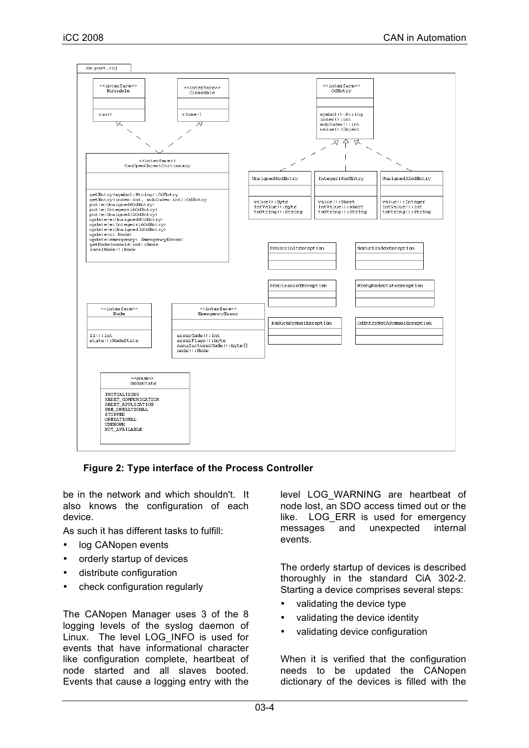

**Figure 2: Type interface of the Process Controller**

be in the network and which shouldn't. It also knows the configuration of each device.

As such it has different tasks to fulfill:

- log CANopen events
- orderly startup of devices
- distribute configuration
- check configuration regularly

The CANopen Manager uses 3 of the 8 logging levels of the syslog daemon of Linux. The level LOG\_INFO is used for events that have informational character like configuration complete, heartbeat of node started and all slaves booted. Events that cause a logging entry with the level LOG\_WARNING are heartbeat of node lost, an SDO access timed out or the like. LOG ERR is used for emergency messages and unexpected internal events.

The orderly startup of devices is described thoroughly in the standard CiA 302-2. Starting a device comprises several steps:

- validating the device type
- validating the device identity
- validating device configuration

When it is verified that the configuration needs to be updated the CANopen dictionary of the devices is filled with the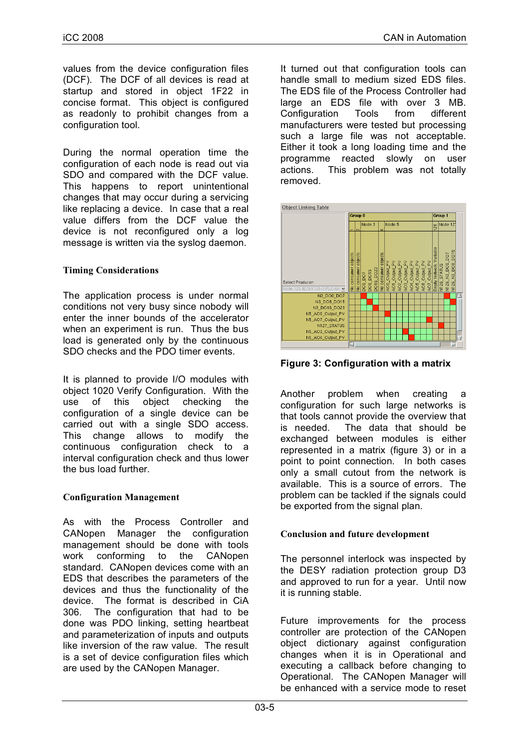values from the device configuration files (DCF). The DCF of all devices is read at startup and stored in object 1F22 in concise format. This object is configured as readonly to prohibit changes from a configuration tool.

During the normal operation time the configuration of each node is read out via SDO and compared with the DCF value. This happens to report unintentional changes that may occur during a servicing like replacing a device. In case that a real value differs from the DCF value the device is not reconfigured only a log message is written via the syslog daemon.

## **Timing Considerations**

The application process is under normal conditions not very busy since nobody will enter the inner bounds of the accelerator when an experiment is run. Thus the bus load is generated only by the continuous SDO checks and the PDO timer events.

It is planned to provide I/O modules with object 1020 Verify Configuration. With the use of this object checking the configuration of a single device can be carried out with a single SDO access. This change allows to modify the continuous configuration check to a interval configuration check and thus lower the bus load further.

## **Configuration Management**

As with the Process Controller and CANopen Manager the configuration management should be done with tools work conforming to the CANopen standard. CANopen devices come with an EDS that describes the parameters of the devices and thus the functionality of the device. The format is described in CiA 306. The configuration that had to be done was PDO linking, setting heartbeat and parameterization of inputs and outputs like inversion of the raw value. The result is a set of device configuration files which are used by the CANopen Manager.

It turned out that configuration tools can handle small to medium sized EDS files. The EDS file of the Process Controller had large an EDS file with over 3 MB. Configuration Tools from different manufacturers were tested but processing such a large file was not acceptable. Either it took a long loading time and the programme reacted slowly on user actions. This problem was not totally removed.



**Figure 3: Configuration with a matrix**

Another problem when creating a configuration for such large networks is that tools cannot provide the overview that is needed. The data that should be exchanged between modules is either represented in a matrix (figure 3) or in a point to point connection. In both cases only a small cutout from the network is available. This is a source of errors. The problem can be tackled if the signals could be exported from the signal plan.

## **Conclusion and future development**

The personnel interlock was inspected by the DESY radiation protection group D3 and approved to run for a year. Until now it is running stable.

Future improvements for the process controller are protection of the CANopen object dictionary against configuration changes when it is in Operational and executing a callback before changing to Operational. The CANopen Manager will be enhanced with a service mode to reset